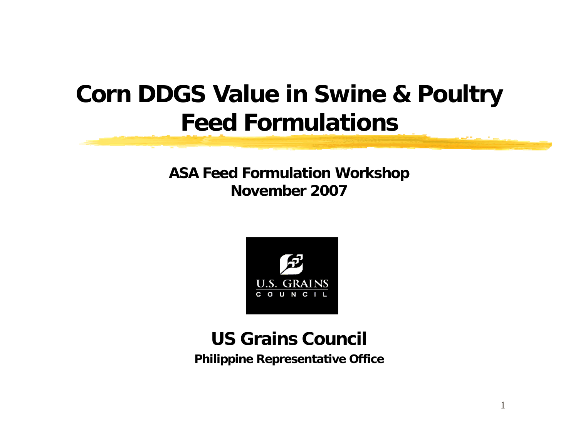## **Corn DDGS Value in Swine & Poultry Feed Formulations**

**ASA Feed Formulation Workshop November 2007**



#### **US Grains Council**

**Philippine Representative Office**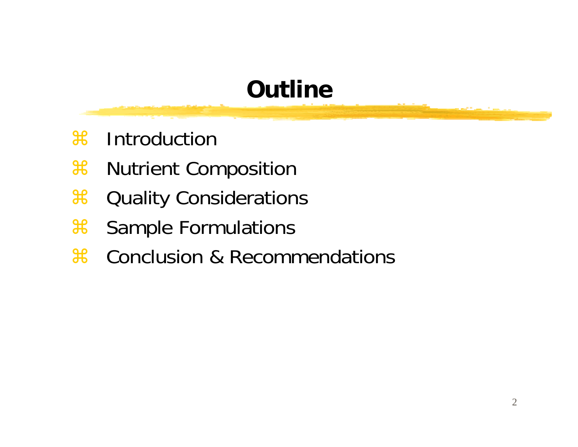## **Outline**

- $\mathcal{H}$ Introduction
- $\mathcal{H}$ Nutrient Composition
- $\mathcal{H}$ Quality Considerations
- $\mathcal{H}$ Sample Formulations
- $\mathbb{R}$ Conclusion & Recommendations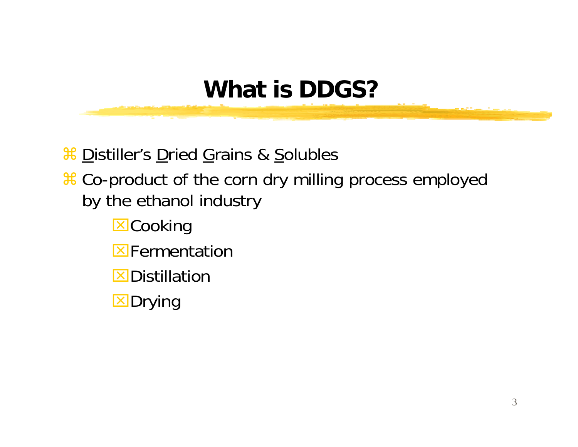## **What is DDGS?**

**a Distiller's Dried Grains & Solubles** a Co-product of the corn dry milling process employed by the ethanol industry **EX** Cooking **E**Fermentation **EX** Distillation **EX** Drying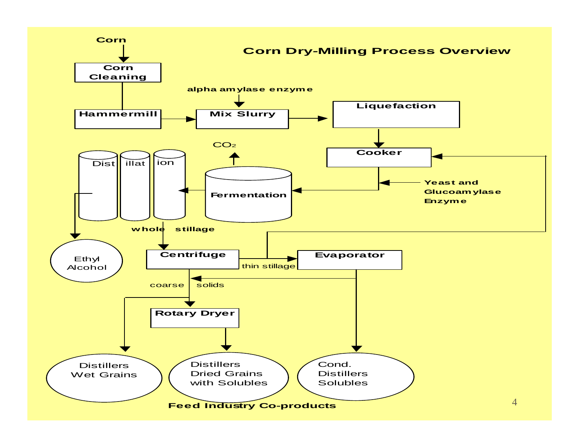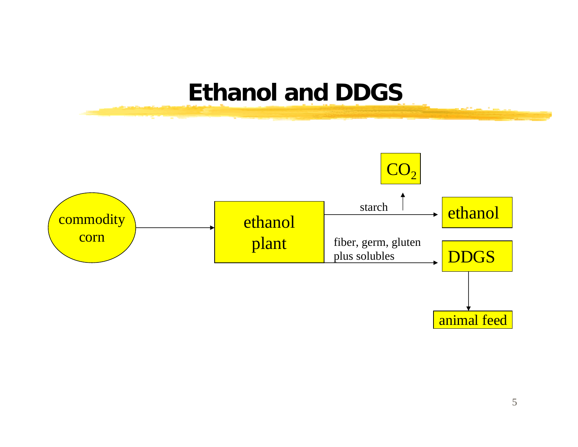### **Ethanol and DDGS**

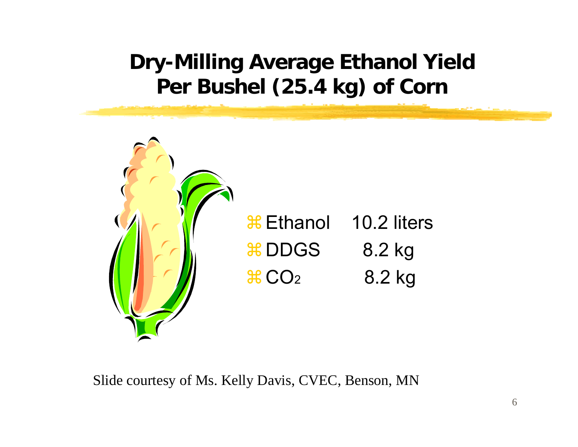### **Dry-Milling Average Ethanol Yield Per Bushel (25.4 kg) of Corn**



Slide courtesy of Ms. Kelly Davis, CVEC, Benson, MN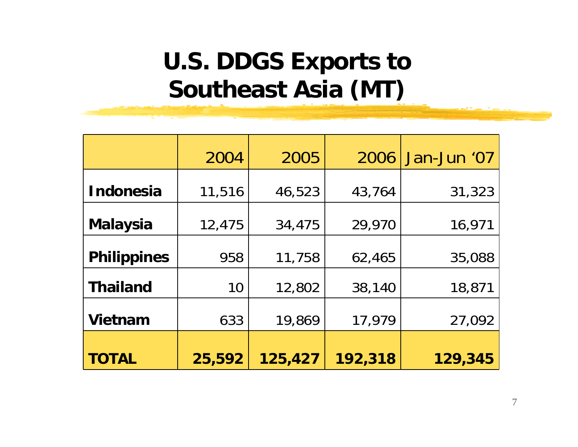# **U.S. DDGS Exports to Southeast Asia (MT)**

|                    | 2004   | 2005    | 2006    | Jan-Jun '07 |
|--------------------|--------|---------|---------|-------------|
| <b>Indonesia</b>   | 11,516 | 46,523  | 43,764  | 31,323      |
| <b>Malaysia</b>    | 12,475 | 34,475  | 29,970  | 16,971      |
| <b>Philippines</b> | 958    | 11,758  | 62,465  | 35,088      |
| <b>Thailand</b>    | 10     | 12,802  | 38,140  | 18,871      |
| <b>Vietnam</b>     | 633    | 19,869  | 17,979  | 27,092      |
| <b>TOTAL</b>       | 25,592 | 125,427 | 192,318 | 129,345     |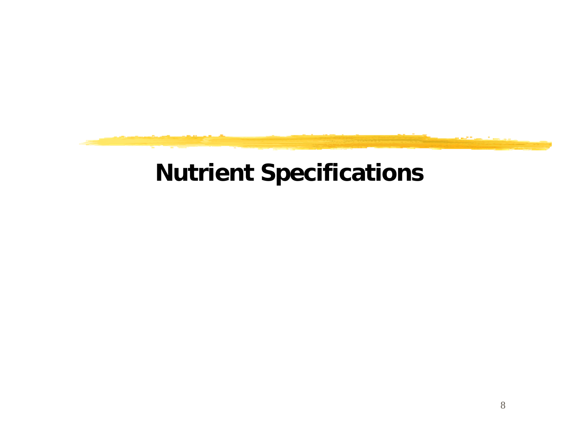

## **Nutrient Specifications**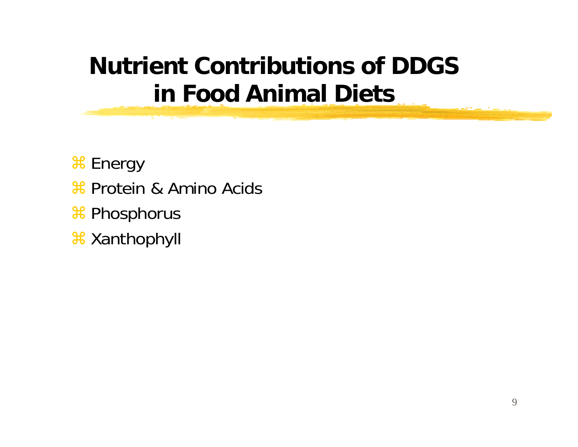# **Nutrient Contributions of DDGS in Food Animal Diets**

 $*$  Energy

- **a Protein & Amino Acids**
- **a** Phosphorus
- **a** Xanthophyll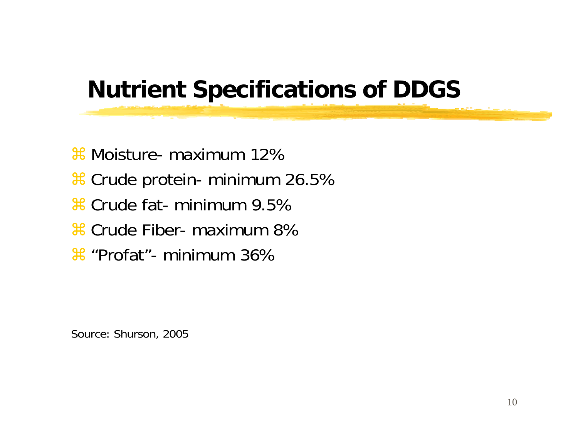## **Nutrient Specifications of DDGS**

a Moisture- maximum 12%

- **a Crude protein- minimum 26.5%**
- **a** Crude fat- minimum 9.5%
- **a** Crude Fiber- maximum 8%
- $\frac{4}{10}$  "Profat"- minimum 36%

Source: Shurson, 2005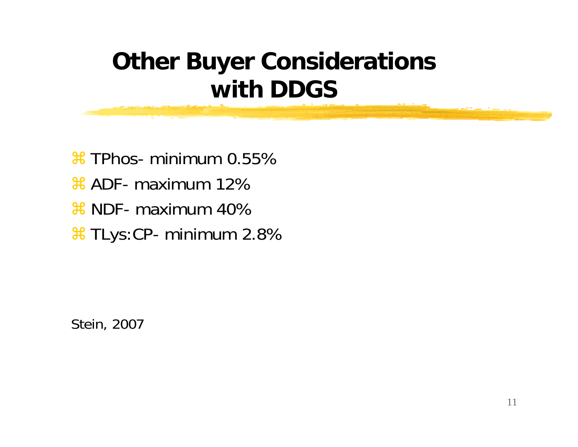# **Other Buyer Considerations with DDGS**

 $\frac{4}{10}$  TPhos- minimum 0.55%  $\frac{4}{12}$  ADF- maximum 12%  $\frac{46}{100}$  NDF- maximum 40%  $*$  TLys:CP- minimum 2.8%

Stein, 2007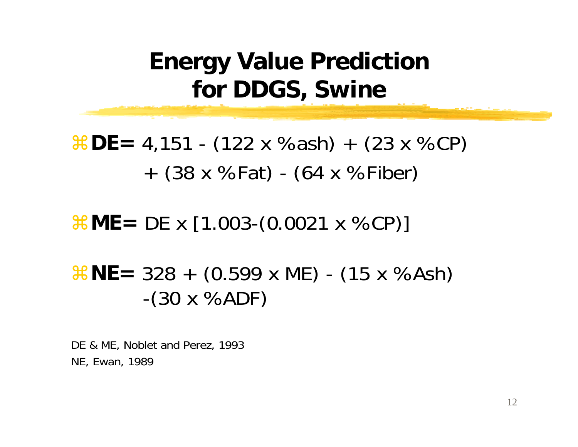## **Energy Value Prediction for DDGS, Swine**

a**DE=** 4,151 - (122 x %ash) + (23 x %CP) + (38 x %Fat) - (64 x %Fiber)

### $RME = DE \times [1.003-(0.0021 \times %CP)]$

### a**NE=** 328 + (0.599 x ME) - (15 x %Ash)  $-(30 \times \%ADF)$

DE & ME, Noblet and Perez, 1993 NE, Ewan, 1989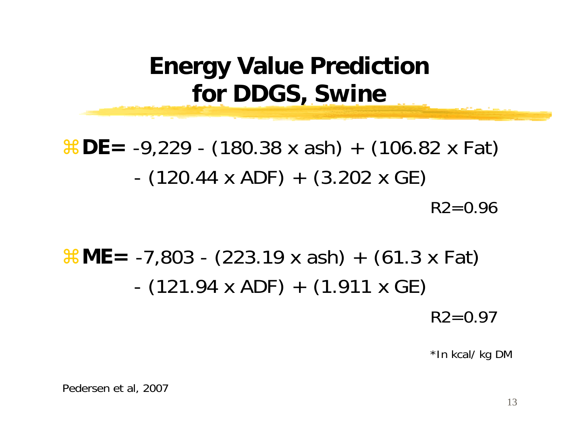## **Energy Value Prediction for DDGS, Swine**

a**DE=** -9,229 - (180.38 x ash) + (106.82 x Fat) (120.44 x ADF) + (3.202 x GE)  $R2 = 0.96$ 

# a**ME=** -7,803 - (223.19 x ash) + (61.3 x Fat) (121.94 x ADF) + (1.911 x GE)

 $R2 = 0.97$ 

\*In kcal/ kg DM

Pedersen et al, 2007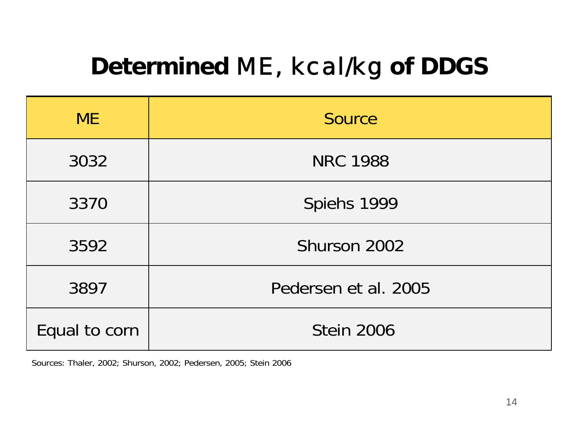# **Determined** ME, kcal/kg **of DDGS**

| ME            | Source               |
|---------------|----------------------|
| 3032          | <b>NRC 1988</b>      |
| 3370          | Spiehs 1999          |
| 3592          | Shurson 2002         |
| 3897          | Pedersen et al. 2005 |
| Equal to corn | <b>Stein 2006</b>    |

Sources: Thaler, 2002; Shurson, 2002; Pedersen, 2005; Stein 2006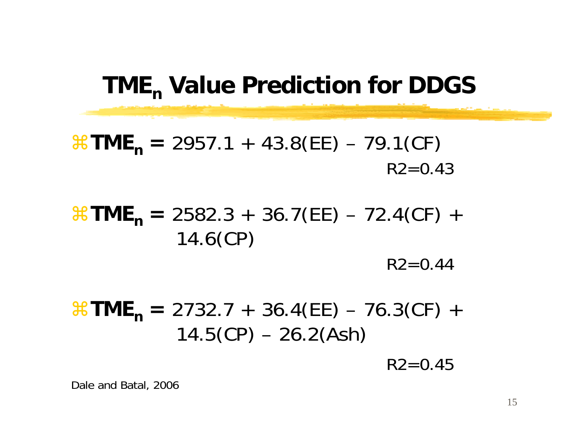## **TMEn Value Prediction for DDGS**

a**TMEn <sup>=</sup>**2957.1 + 43.8(EE) – 79.1(CF)  $R2 = 0.43$ 

 $\text{H}$ **TME**<sub>n</sub> = 2582.3 + 36.7(EE) – 72.4(CF) + 14.6(CP)

 $R2 = 0.44$ 

 $\text{H}$ **TME**<sub>n</sub> = 2732.7 + 36.4(EE) – 76.3(CF) +  $14.5$ (CP) – 26.2(Ash)

 $R2=0.45$ 

Dale and Batal, 2006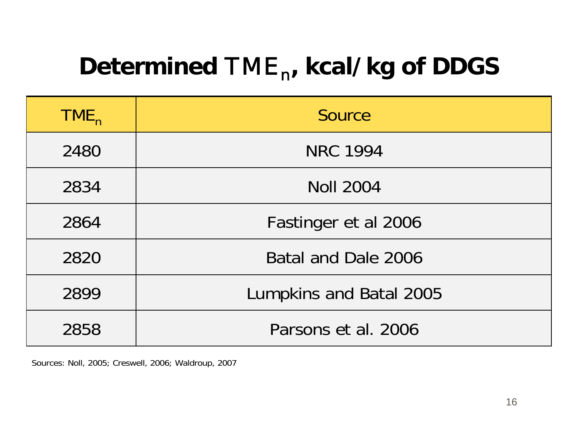# **Determined** TMEn**, kcal/kg of DDGS**

| TME <sub>n</sub> | <b>Source</b>           |
|------------------|-------------------------|
| 2480             | <b>NRC 1994</b>         |
| 2834             | <b>Noll 2004</b>        |
| 2864             | Fastinger et al 2006    |
| 2820             | Batal and Dale 2006     |
| 2899             | Lumpkins and Batal 2005 |
| 2858             | Parsons et al. 2006     |

Sources: Noll, 2005; Creswell, 2006; Waldroup, 2007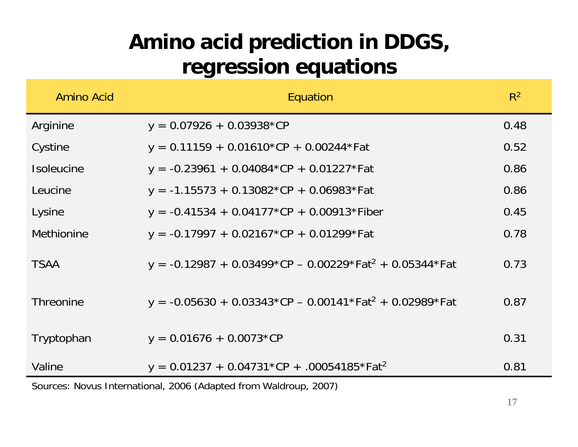### **Amino acid prediction in DDGS, regression equations**

| <b>Amino Acid</b> | Equation                                                                  | $R^2$ |
|-------------------|---------------------------------------------------------------------------|-------|
| Arginine          | $y = 0.07926 + 0.03938$ *CP                                               | 0.48  |
| Cystine           | $y = 0.11159 + 0.01610$ *CP + 0.00244 * Fat                               | 0.52  |
| <b>Isoleucine</b> | $y = -0.23961 + 0.04084$ <sup>*</sup> CP + 0.01227 <sup>*</sup> Fat       | 0.86  |
| Leucine           | $y = -1.15573 + 0.13082$ *CP + 0.06983*Fat                                | 0.86  |
| Lysine            | $y = -0.41534 + 0.04177$ * CP + 0.00913 * Fiber                           | 0.45  |
| Methionine        | $y = -0.17997 + 0.02167$ *CP + 0.01299 * Fat                              | 0.78  |
| <b>TSAA</b>       | $y = -0.12987 + 0.03499$ *CP – 0.00229 * Fat <sup>2</sup> + 0.05344 * Fat | 0.73  |
| <b>Threonine</b>  | $y = -0.05630 + 0.03343$ *CP – 0.00141 *Fat <sup>2</sup> + 0.02989 *Fat   | 0.87  |
| Tryptophan        | $y = 0.01676 + 0.0073$ *CP                                                | 0.31  |
| Valine            | $y = 0.01237 + 0.04731$ *CP + .00054185 *Fat <sup>2</sup>                 | 0.81  |

Sources: Novus International, 2006 (Adapted from Waldroup, 2007)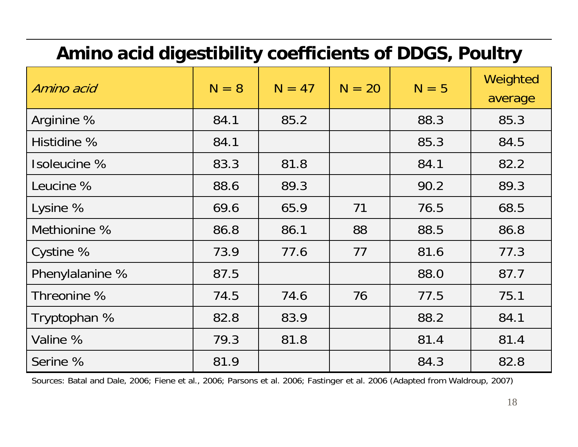#### **Amino acid digestibility coefficients of DDGS, Poultry**

| Amino acid      | $N = 8$ | $N = 47$ | $N = 20$ | $N = 5$ | Weighted<br>average |
|-----------------|---------|----------|----------|---------|---------------------|
| Arginine %      | 84.1    | 85.2     |          | 88.3    | 85.3                |
| Histidine %     | 84.1    |          |          | 85.3    | 84.5                |
| Isoleucine %    | 83.3    | 81.8     |          | 84.1    | 82.2                |
| Leucine %       | 88.6    | 89.3     |          | 90.2    | 89.3                |
| Lysine %        | 69.6    | 65.9     | 71       | 76.5    | 68.5                |
| Methionine %    | 86.8    | 86.1     | 88       | 88.5    | 86.8                |
| Cystine %       | 73.9    | 77.6     | 77       | 81.6    | 77.3                |
| Phenylalanine % | 87.5    |          |          | 88.0    | 87.7                |
| Threonine %     | 74.5    | 74.6     | 76       | 77.5    | 75.1                |
| Tryptophan %    | 82.8    | 83.9     |          | 88.2    | 84.1                |
| Valine %        | 79.3    | 81.8     |          | 81.4    | 81.4                |
| Serine %        | 81.9    |          |          | 84.3    | 82.8                |

Sources: Batal and Dale, 2006; Fiene et al., 2006; Parsons et al. 2006; Fastinger et al. 2006 (Adapted from Waldroup, 2007)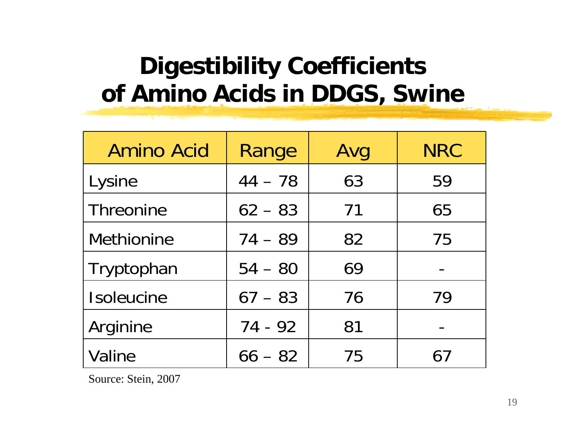# **Digestibility Coefficients of Amino Acids in DDGS, Swine**

| <b>Amino Acid</b> | Range     | Avg | <b>NRC</b> |
|-------------------|-----------|-----|------------|
| Lysine            | $44 - 78$ | 63  | 59         |
| Threonine         | $62 - 83$ | 71  | 65         |
| <b>Methionine</b> | $74 - 89$ | 82  | 75         |
| Tryptophan        | $54 - 80$ | 69  |            |
| <b>Isoleucine</b> | $67 - 83$ | 76  | 79         |
| Arginine          | $74 - 92$ | 81  |            |
| Valine            | $66 - 82$ | 75  |            |

Source: Stein, 2007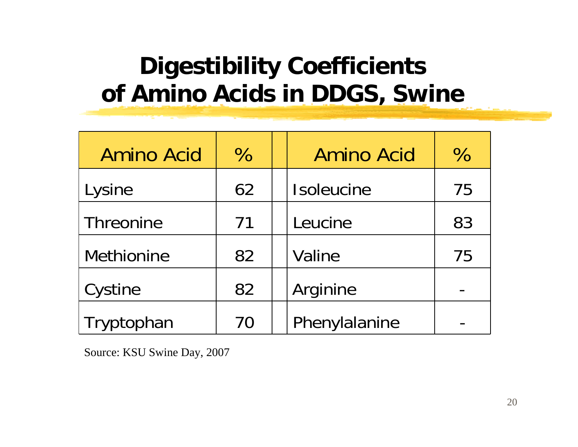# **Digestibility Coefficients of Amino Acids in DDGS, Swine**

| <b>Amino Acid</b> | $\%$ | <b>Amino Acid</b> | $\%$ |
|-------------------|------|-------------------|------|
| Lysine            | 62   | Isoleucine        | 75   |
| Threonine         | 71   | Leucine           | 83   |
| Methionine        | 82   | Valine            | 75   |
| Cystine           | 82   | Arginine          |      |
| Tryptophan        | 70   | Phenylalanine     |      |

Source: KSU Swine Day, 2007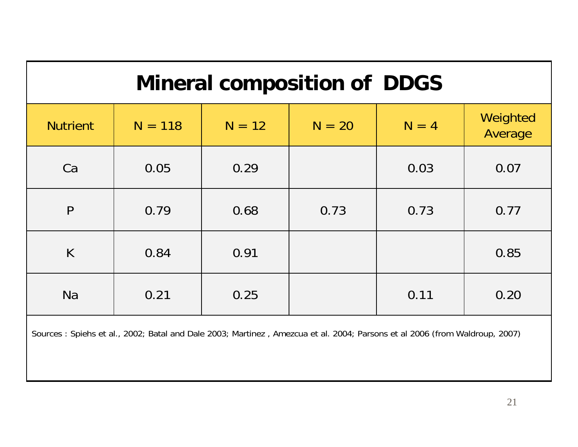| <b>Mineral composition of DDGS</b>                                                                                         |           |          |          |         |                     |  |
|----------------------------------------------------------------------------------------------------------------------------|-----------|----------|----------|---------|---------------------|--|
| <b>Nutrient</b>                                                                                                            | $N = 118$ | $N = 12$ | $N = 20$ | $N = 4$ | Weighted<br>Average |  |
| Ca                                                                                                                         | 0.05      | 0.29     |          | 0.03    | 0.07                |  |
| P                                                                                                                          | 0.79      | 0.68     | 0.73     | 0.73    | 0.77                |  |
| K                                                                                                                          | 0.84      | 0.91     |          |         | 0.85                |  |
| <b>Na</b>                                                                                                                  | 0.21      | 0.25     |          | 0.11    | 0.20                |  |
| Sources: Spiehs et al., 2002; Batal and Dale 2003; Martinez, Amezcua et al. 2004; Parsons et al 2006 (from Waldroup, 2007) |           |          |          |         |                     |  |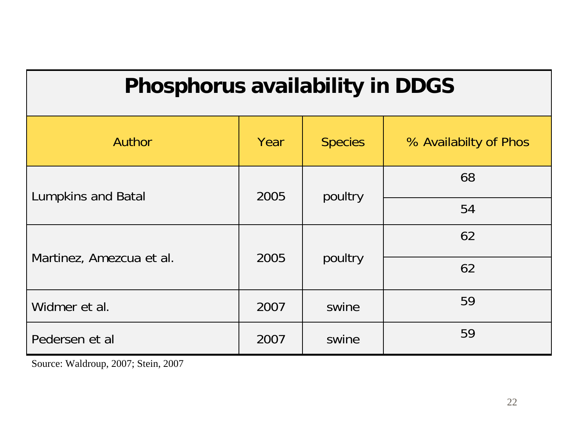| <b>Phosphorus availability in DDGS</b> |      |                |                       |  |  |  |  |
|----------------------------------------|------|----------------|-----------------------|--|--|--|--|
| <b>Author</b>                          | Year | <b>Species</b> | % Availabilty of Phos |  |  |  |  |
| <b>Lumpkins and Batal</b>              | 2005 | poultry        | 68                    |  |  |  |  |
|                                        |      |                | 54                    |  |  |  |  |
|                                        |      |                | 62                    |  |  |  |  |
| Martinez, Amezcua et al.               | 2005 | poultry        | 62                    |  |  |  |  |
| Widmer et al.                          | 2007 | swine          | 59                    |  |  |  |  |
| Pedersen et al                         | 2007 | swine          | 59                    |  |  |  |  |

Source: Waldroup, 2007; Stein, 2007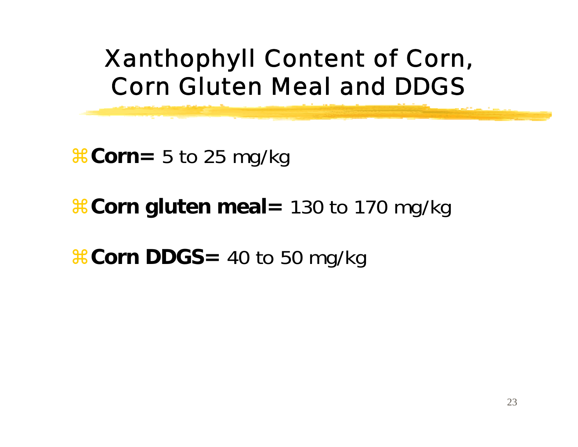# Xanthophyll Content of Corn, Corn Gluten Meal and DDGS

 $\text{R}$  Corn= 5 to 25 mg/kg

### *<del>& Corn gluten meal* = 130 to 170 mg/kg</del>

### *<del>&Corn DDGS= 40 to 50 mg/kg*</del>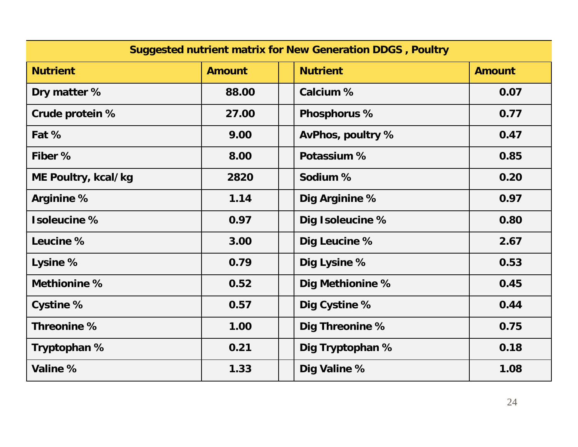| <b>Suggested nutrient matrix for New Generation DDGS, Poultry</b> |               |  |                   |               |  |
|-------------------------------------------------------------------|---------------|--|-------------------|---------------|--|
| <b>Nutrient</b>                                                   | <b>Amount</b> |  | <b>Nutrient</b>   | <b>Amount</b> |  |
| Dry matter %                                                      | 88.00         |  | Calcium %         | 0.07          |  |
| Crude protein %                                                   | 27.00         |  | Phosphorus %      | 0.77          |  |
| Fat %                                                             | 9.00          |  | AvPhos, poultry % | 0.47          |  |
| Fiber %                                                           | 8.00          |  | Potassium %       | 0.85          |  |
| ME Poultry, kcal/kg                                               | 2820          |  | Sodium %          | 0.20          |  |
| Arginine %                                                        | 1.14          |  | Dig Arginine %    | 0.97          |  |
| Isoleucine %                                                      | 0.97          |  | Dig Isoleucine %  | 0.80          |  |
| Leucine %                                                         | 3.00          |  | Dig Leucine %     | 2.67          |  |
| Lysine %                                                          | 0.79          |  | Dig Lysine %      | 0.53          |  |
| Methionine %                                                      | 0.52          |  | Dig Methionine %  | 0.45          |  |
| Cystine %                                                         | 0.57          |  | Dig Cystine %     | 0.44          |  |
| Threonine %                                                       | 1.00          |  | Dig Threonine %   | 0.75          |  |
| Tryptophan %                                                      | 0.21          |  | Dig Tryptophan %  | 0.18          |  |
| Valine %                                                          | 1.33          |  | Dig Valine %      | 1.08          |  |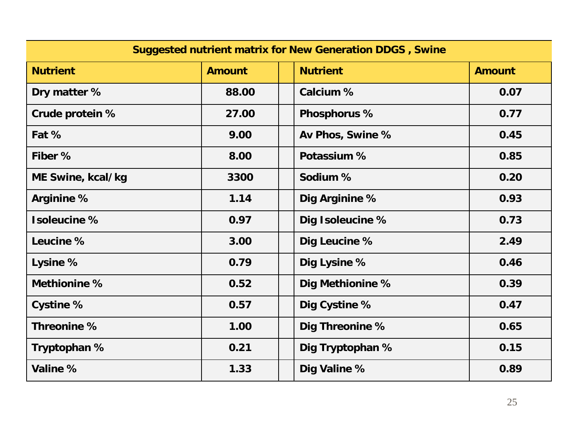| <b>Suggested nutrient matrix for New Generation DDGS, Swine</b> |               |  |                  |               |  |
|-----------------------------------------------------------------|---------------|--|------------------|---------------|--|
| <b>Nutrient</b>                                                 | <b>Amount</b> |  | <b>Nutrient</b>  | <b>Amount</b> |  |
| Dry matter %                                                    | 88.00         |  | Calcium %        | 0.07          |  |
| Crude protein %                                                 | 27.00         |  | Phosphorus %     | 0.77          |  |
| Fat %                                                           | 9.00          |  | Av Phos, Swine % | 0.45          |  |
| Fiber %                                                         | 8.00          |  | Potassium %      | 0.85          |  |
| ME Swine, kcal/kg                                               | 3300          |  | Sodium %         | 0.20          |  |
| Arginine %                                                      | 1.14          |  | Dig Arginine %   | 0.93          |  |
| Isoleucine %                                                    | 0.97          |  | Dig Isoleucine % | 0.73          |  |
| Leucine %                                                       | 3.00          |  | Dig Leucine %    | 2.49          |  |
| Lysine %                                                        | 0.79          |  | Dig Lysine %     | 0.46          |  |
| Methionine %                                                    | 0.52          |  | Dig Methionine % | 0.39          |  |
| Cystine %                                                       | 0.57          |  | Dig Cystine %    | 0.47          |  |
| Threonine %                                                     | 1.00          |  | Dig Threonine %  | 0.65          |  |
| Tryptophan %                                                    | 0.21          |  | Dig Tryptophan % | 0.15          |  |
| Valine %                                                        | 1.33          |  | Dig Valine %     | 0.89          |  |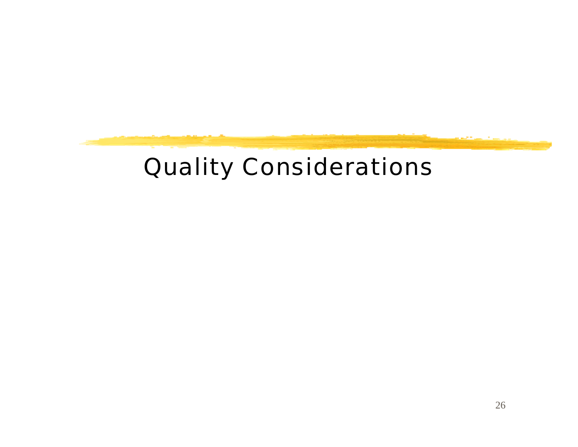## Quality Considerations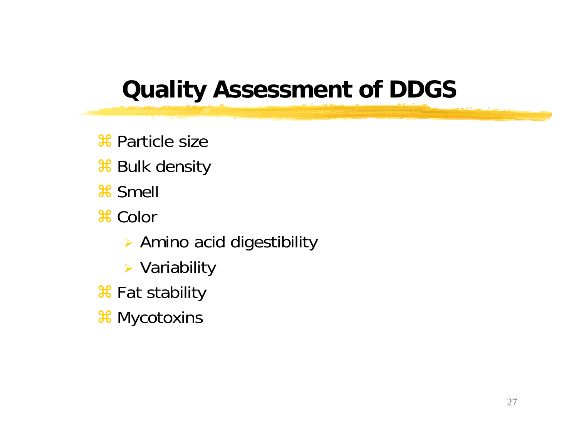### **Quality Assessment of DDGS**

 $\frac{a}{b}$  **Particle size** 

- **a Bulk density**
- $\frac{1}{2}$  Smell
- $*$  Color
	- ¾ Amino acid digestibility
	- ¾ Variability
- $\mathcal{H}$  **Fat stability**
- $%$  Mycotoxins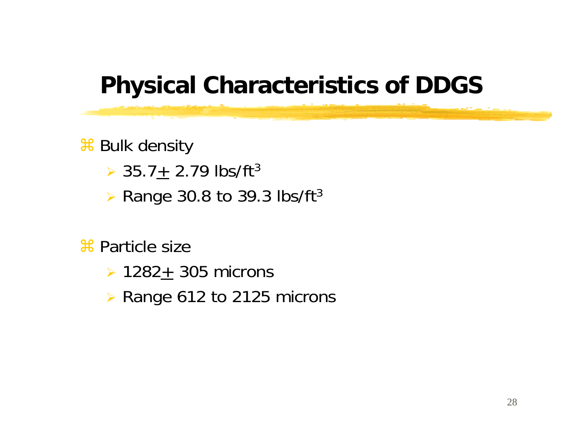### **Physical Characteristics of DDGS**

**a** Bulk density

- $>$  35.7 + 2.79 lbs/ft<sup>3</sup>
- $\triangleright$  Range 30.8 to 39.3 lbs/ft<sup>3</sup>

 $\frac{a}{b}$  **Particle size** 

- $\geq 1282 + 305$  microns
- ¾ Range 612 to 2125 microns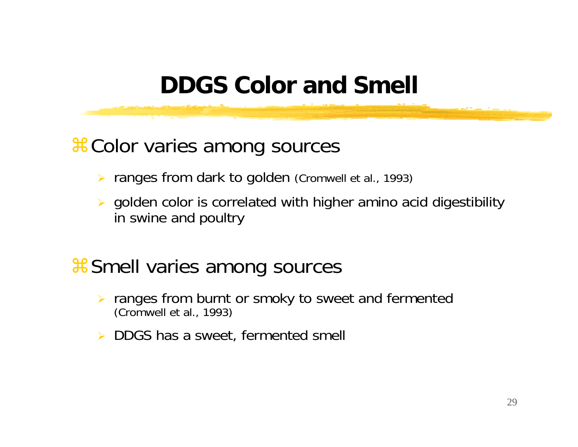## **DDGS Color and Smell**

**aColor varies among sources** 

- ¾ ranges from dark to golden (Cromwell et al., 1993)
- ¾ golden color is correlated with higher amino acid digestibility in swine and poultry
- **s** Smell varies among sources
	- ¾ ranges from burnt or smoky to sweet and fermented (Cromwell et al., 1993)
	- ¾ DDGS has a sweet, fermented smell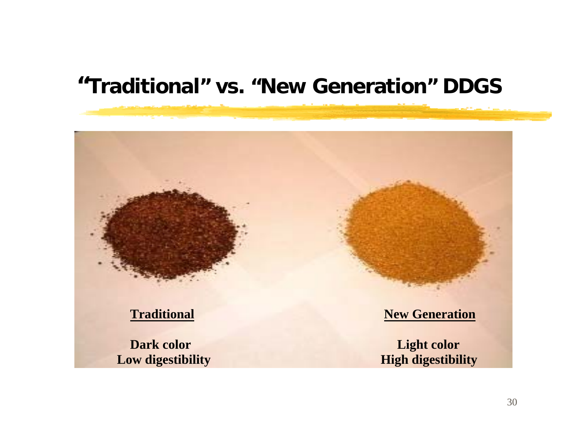### **"Traditional" vs. "New Generation" DDGS**

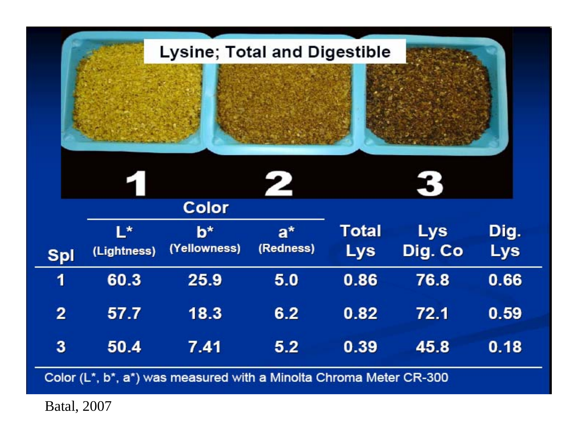

Batal, 2007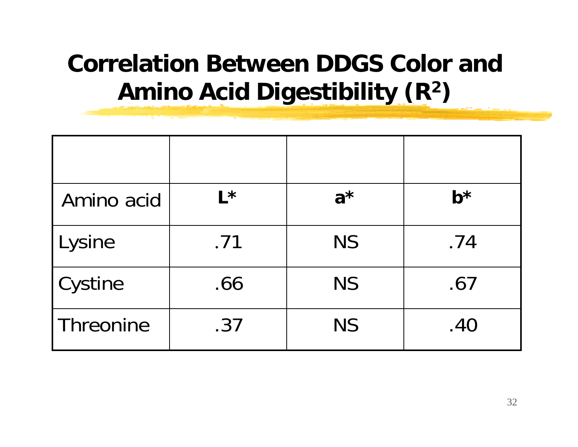#### **Correlation Between DDGS Color and Amino Acid Digestibility (R 2 )**

| Amino acid    | $L^{\star}$ | $a^{\star}$ | $b^*$ |
|---------------|-------------|-------------|-------|
| <b>Lysine</b> | .71         | <b>NS</b>   | .74   |
| Cystine       | .66         | <b>NS</b>   | .67   |
| Threonine     | .37         | <b>NS</b>   | .40   |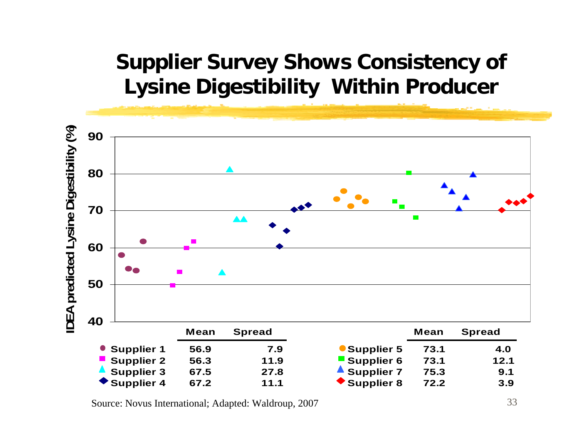### **Supplier Survey Shows Consistency of Lysine Digestibility Within Producer**



Source: Novus International; Adapted: Waldroup, 2007

33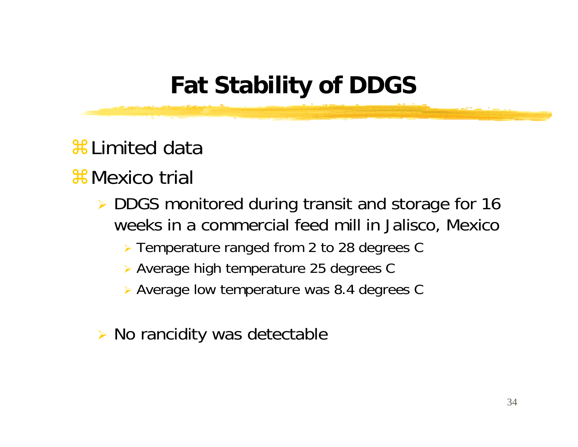# **Fat Stability of DDGS**

**a**Limited data

### $\frac{a}{b}$  Mexico trial

- ¾ DDGS monitored during transit and storage for 16 weeks in a commercial feed mill in Jalisco, Mexico
	- ¾ Temperature ranged from 2 to 28 degrees C
	- ¾ Average high temperature 25 degrees C
	- ¾ Average low temperature was 8.4 degrees C
- ¾ No rancidity was detectable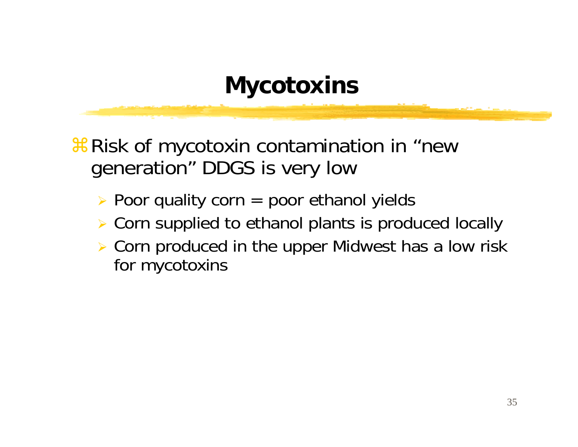## **Mycotoxins**

**X Risk of mycotoxin contamination in "new** generation" DDGS is very low

- ¾ Poor quality corn = poor ethanol yields
- ¾Corn supplied to ethanol plants is produced locally
- ¾ Corn produced in the upper Midwest has a low risk for mycotoxins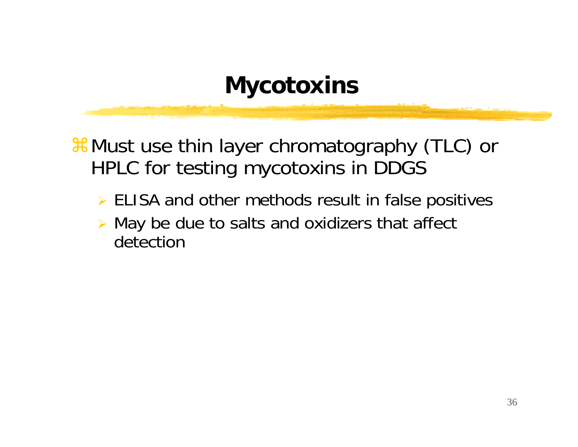## **Mycotoxins**

 $\frac{1}{26}$  Must use thin layer chromatography (TLC) or HPLC for testing mycotoxins in DDGS

- ¾ ELISA and other methods result in false positives
- ¾ May be due to salts and oxidizers that affect detection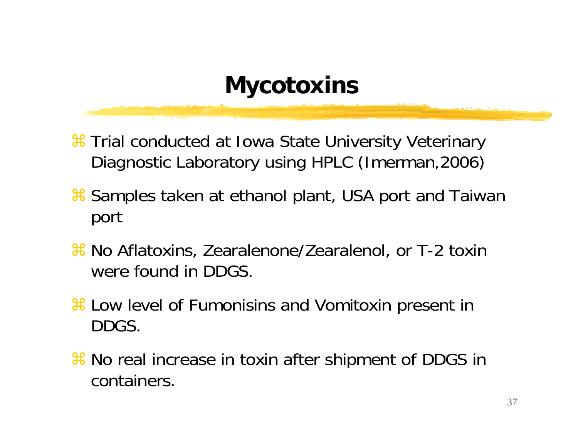## **Mycotoxins**

- $\frac{a}{b}$  **Trial conducted at Iowa State University Veterinary** Diagnostic Laboratory using HPLC (Imerman,2006)
- **a** Samples taken at ethanol plant, USA port and Taiwan port
- **a No Aflatoxins, Zearalenone/Zearalenol, or T-2 toxin** were found in DDGS.
- $\frac{a}{b}$  **Low level of Fumonisins and Vomitoxin present in** DDGS.
- **a K** No real increase in toxin after shipment of DDGS in containers.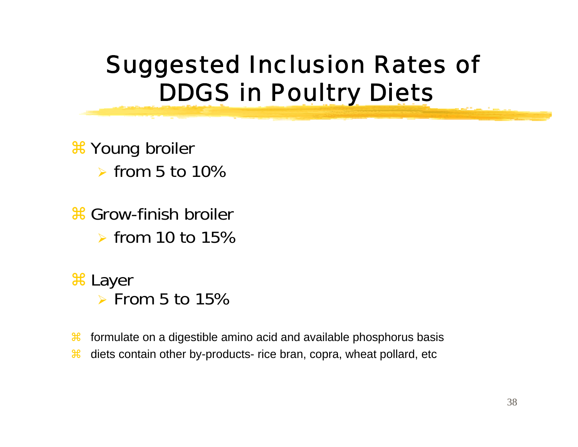# Suggested Inclusion Rates of DDGS in Poultry Diets

**a** Young broiler  $\triangleright$  from 5 to 10%

**a** Grow-finish broiler  $\triangleright$  from 10 to 15%

 $%$  Layer  $\triangleright$  From 5 to 15%

 $\mathcal{H}$ formulate on a digestible amino acid and available phosphorus basis

 $\mathcal{H}$ diets contain other by-products- rice bran, copra, wheat pollard, etc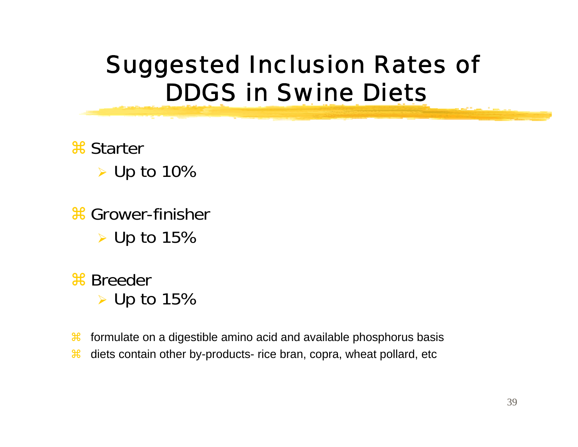# Suggested Inclusion Rates of DDGS in Swine Diets

 $#$  Starter  $\triangleright$  Up to 10%

**a** Grower-finisher  $\triangleright$  Up to 15%

 $*$  Breeder  $\triangleright$  Up to 15%

 $\mathcal{H}$ formulate on a digestible amino acid and available phosphorus basis

 $\mathcal{H}$ diets contain other by-products- rice bran, copra, wheat pollard, etc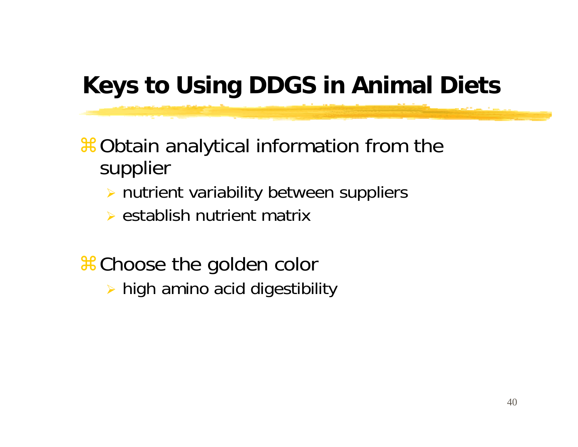# **Keys to Using DDGS in Animal Diets**

**#Obtain analytical information from the** supplier

- ¾ nutrient variability between suppliers
- $\triangleright$  establish nutrient matrix

**#Choose the golden color** 

¾ high amino acid digestibility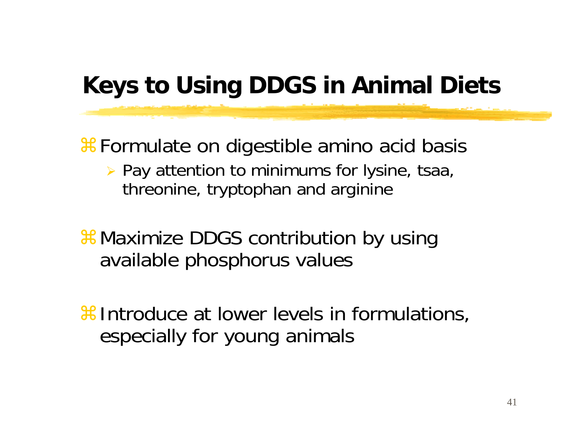## **Keys to Using DDGS in Animal Diets**

#Formulate on digestible amino acid basis

¾ Pay attention to minimums for lysine, tsaa, threonine, tryptophan and arginine

& Maximize DDGS contribution by using available phosphorus values

**\the Introduce at lower levels in formulations,** especially for young animals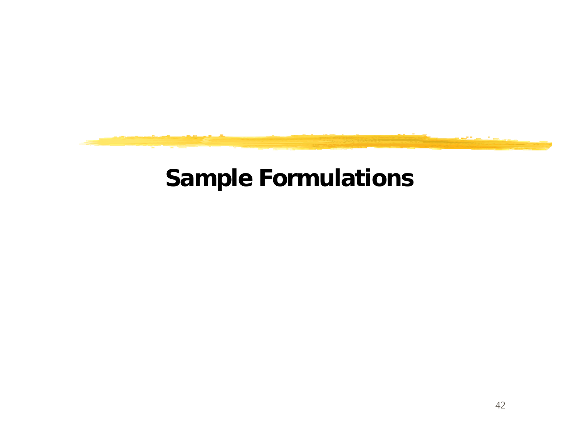

# **Sample Formulations**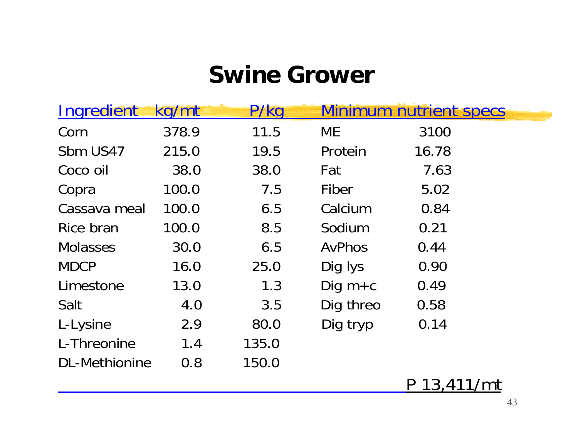## **Swine Grower**

| <b>Ingredient</b>    | kg/mt | P/kg  |               | Minimum nutrient specs |  |
|----------------------|-------|-------|---------------|------------------------|--|
| Corn                 | 378.9 | 11.5  | <b>ME</b>     | 3100                   |  |
| Sbm US47             | 215.0 | 19.5  | Protein       | 16.78                  |  |
| Coco oil             | 38.0  | 38.0  | Fat           | 7.63                   |  |
| Copra                | 100.0 | 7.5   | Fiber         | 5.02                   |  |
| Cassava meal         | 100.0 | 6.5   | Calcium       | 0.84                   |  |
| Rice bran            | 100.0 | 8.5   | Sodium        | 0.21                   |  |
| <b>Molasses</b>      | 30.0  | 6.5   | <b>AvPhos</b> | 0.44                   |  |
| <b>MDCP</b>          | 16.0  | 25.0  | Dig lys       | 0.90                   |  |
| Limestone            | 13.0  | 1.3   | Dig $m + c$   | 0.49                   |  |
| Salt                 | 4.0   | 3.5   | Dig threo     | 0.58                   |  |
| L-Lysine             | 2.9   | 80.0  | Dig tryp      | 0.14                   |  |
| L-Threonine          | 1.4   | 135.0 |               |                        |  |
| <b>DL-Methionine</b> | 0.8   | 150.0 |               |                        |  |

P 13,411/mt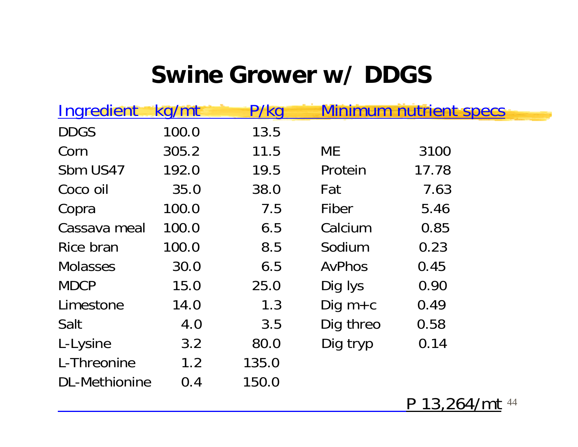## **Swine Grower w/ DDGS**

| Ingredient      | kg/mt | P/kg  |               | <b>Minimum nutrient specs</b> |
|-----------------|-------|-------|---------------|-------------------------------|
| <b>DDGS</b>     | 100.0 | 13.5  |               |                               |
| Corn            | 305.2 | 11.5  | <b>ME</b>     | 3100                          |
| Sbm US47        | 192.0 | 19.5  | Protein       | 17.78                         |
| Coco oil        | 35.0  | 38.0  | Fat           | 7.63                          |
| Copra           | 100.0 | 7.5   | Fiber         | 5.46                          |
| Cassava meal    | 100.0 | 6.5   | Calcium       | 0.85                          |
| Rice bran       | 100.0 | 8.5   | Sodium        | 0.23                          |
| <b>Molasses</b> | 30.0  | 6.5   | <b>AvPhos</b> | 0.45                          |
| <b>MDCP</b>     | 15.0  | 25.0  | Dig lys       | 0.90                          |
| Limestone       | 14.0  | 1.3   | Dig $m+c$     | 0.49                          |
| Salt            | 4.0   | 3.5   | Dig threo     | 0.58                          |
| L-Lysine        | 3.2   | 80.0  | Dig tryp      | 0.14                          |
| L-Threonine     | 1.2   | 135.0 |               |                               |
| DL-Methionine   | 0.4   | 150.0 |               |                               |

P 13,264/mt 44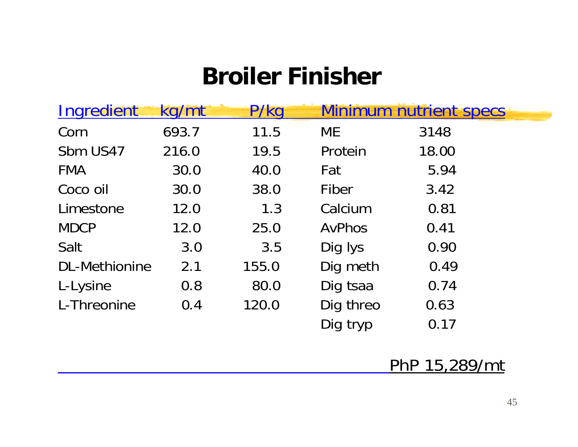## **Broiler Finisher**

| Ingredient           | kg/mt | P/kg  |               | <b>Minimum nutrient specs</b> |  |
|----------------------|-------|-------|---------------|-------------------------------|--|
| Corn                 | 693.7 | 11.5  | ME            | 3148                          |  |
| Sbm US47             | 216.0 | 19.5  | Protein       | 18.00                         |  |
| <b>FMA</b>           | 30.0  | 40.0  | Fat           | 5.94                          |  |
| Coco oil             | 30.0  | 38.0  | Fiber         | 3.42                          |  |
| Limestone            | 12.0  | 1.3   | Calcium       | 0.81                          |  |
| <b>MDCP</b>          | 12.0  | 25.0  | <b>AvPhos</b> | 0.41                          |  |
| Salt                 | 3.0   | 3.5   | Dig lys       | 0.90                          |  |
| <b>DL-Methionine</b> | 2.1   | 155.0 | Dig meth      | 0.49                          |  |
| L-Lysine             | 0.8   | 80.0  | Dig tsaa      | 0.74                          |  |
| L-Threonine          | 0.4   | 120.0 | Dig threo     | 0.63                          |  |
|                      |       |       | Dig tryp      | 0.17                          |  |

#### PhP 15,289/mt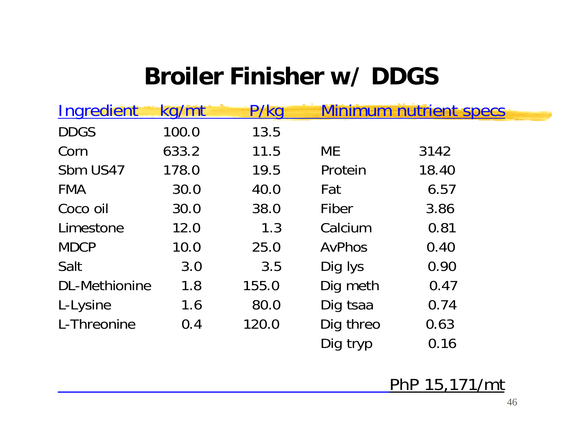## **Broiler Finisher w/ DDGS**

| <b>Ingredient</b> | kg/mt | P/kg  |           | <b>Minimum nutrient specs</b> |  |
|-------------------|-------|-------|-----------|-------------------------------|--|
| <b>DDGS</b>       | 100.0 | 13.5  |           |                               |  |
| Corn              | 633.2 | 11.5  | <b>ME</b> | 3142                          |  |
| Sbm US47          | 178.0 | 19.5  | Protein   | 18.40                         |  |
| <b>FMA</b>        | 30.0  | 40.0  | Fat       | 6.57                          |  |
| Coco oil          | 30.0  | 38.0  | Fiber     | 3.86                          |  |
| Limestone         | 12.0  | 1.3   | Calcium   | 0.81                          |  |
| <b>MDCP</b>       | 10.0  | 25.0  | AvPhos    | 0.40                          |  |
| Salt              | 3.0   | 3.5   | Dig lys   | 0.90                          |  |
| DL-Methionine     | 1.8   | 155.0 | Dig meth  | 0.47                          |  |
| L-Lysine          | 1.6   | 80.0  | Dig tsaa  | 0.74                          |  |
| L-Threonine       | 0.4   | 120.0 | Dig threo | 0.63                          |  |
|                   |       |       | Dig tryp  | 0.16                          |  |

#### PhP 15,171/mt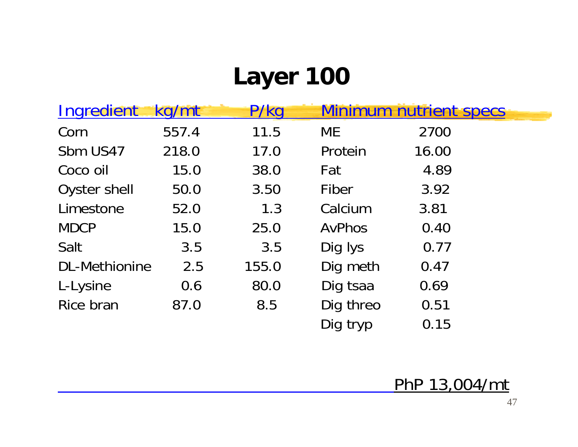# **Layer 100**

| <b>Ingredient</b>    | kg/mt | P/kg  |               | <b>Minimum nutrient specs</b> |  |
|----------------------|-------|-------|---------------|-------------------------------|--|
| Corn                 | 557.4 | 11.5  | <b>ME</b>     | 2700                          |  |
| Sbm US47             | 218.0 | 17.0  | Protein       | 16.00                         |  |
| Coco oil             | 15.0  | 38.0  | Fat           | 4.89                          |  |
| Oyster shell         | 50.0  | 3.50  | Fiber         | 3.92                          |  |
| Limestone            | 52.0  | 1.3   | Calcium       | 3.81                          |  |
| <b>MDCP</b>          | 15.0  | 25.0  | <b>AvPhos</b> | 0.40                          |  |
| Salt                 | 3.5   | 3.5   | Dig lys       | 0.77                          |  |
| <b>DL-Methionine</b> | 2.5   | 155.0 | Dig meth      | 0.47                          |  |
| L-Lysine             | 0.6   | 80.0  | Dig tsaa      | 0.69                          |  |
| Rice bran            | 87.0  | 8.5   | Dig threo     | 0.51                          |  |
|                      |       |       | Dig tryp      | 0.15                          |  |

PhP 13,004/mt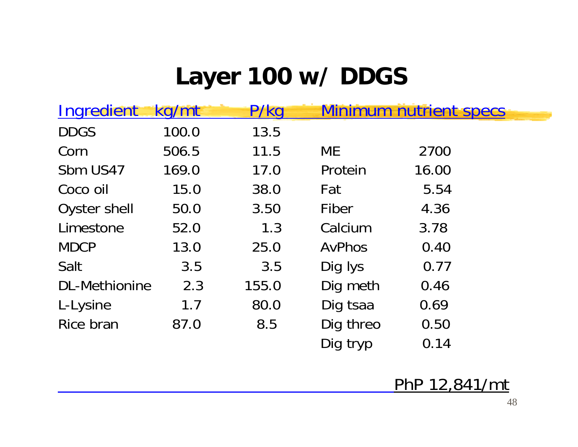# **Layer 100 w/ DDGS**

| <b>Ingredient</b> | kg/mt | P/kg  |               | <b>Minimum nutrient specs</b> |  |
|-------------------|-------|-------|---------------|-------------------------------|--|
| <b>DDGS</b>       | 100.0 | 13.5  |               |                               |  |
| Corn              | 506.5 | 11.5  | ME            | 2700                          |  |
| Sbm US47          | 169.0 | 17.0  | Protein       | 16.00                         |  |
| Coco oil          | 15.0  | 38.0  | Fat           | 5.54                          |  |
| Oyster shell      | 50.0  | 3.50  | Fiber         | 4.36                          |  |
| Limestone         | 52.0  | 1.3   | Calcium       | 3.78                          |  |
| <b>MDCP</b>       | 13.0  | 25.0  | <b>AvPhos</b> | 0.40                          |  |
| Salt              | 3.5   | 3.5   | Dig lys       | 0.77                          |  |
| DL-Methionine     | 2.3   | 155.0 | Dig meth      | 0.46                          |  |
| L-Lysine          | 1.7   | 80.0  | Dig tsaa      | 0.69                          |  |
| Rice bran         | 87.0  | 8.5   | Dig threo     | 0.50                          |  |
|                   |       |       | Dig tryp      | 0.14                          |  |

PhP 12,841/mt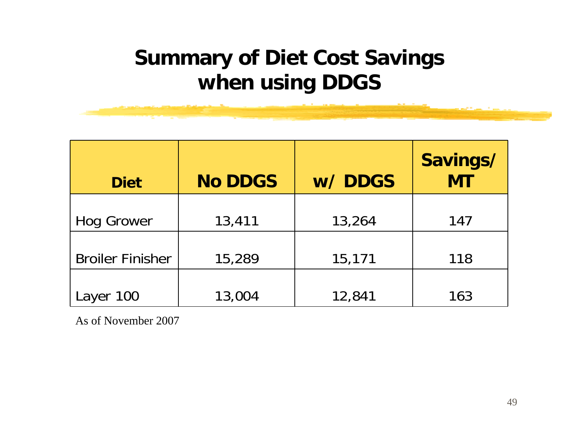### **Summary of Diet Cost Savings when using DDGS**

| <b>Diet</b>             | <b>No DDGS</b> | w/DDGS | Savings/<br><b>MT</b> |
|-------------------------|----------------|--------|-----------------------|
| <b>Hog Grower</b>       | 13,411         | 13,264 | 147                   |
| <b>Broiler Finisher</b> | 15,289         | 15,171 | 118                   |
| Layer 100               | 13,004         | 12,841 | 163                   |

As of November 2007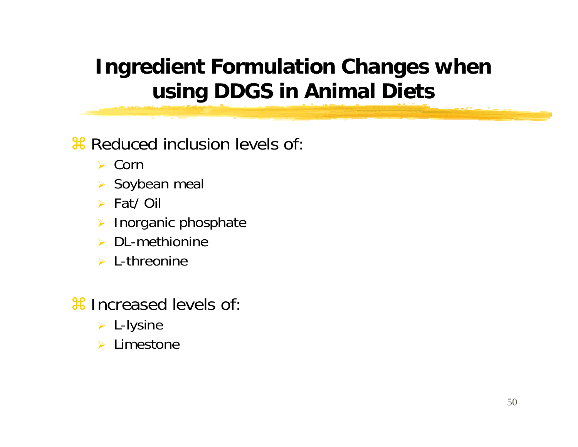### **Ingredient Formulation Changes when using DDGS in Animal Diets**

**a** Reduced inclusion levels of

- $\triangleright$  Corr
- ¾ Soybean meal
- ¾ Fat/ Oil
- ¾ Inorganic phosphate
- ¾ DL-methionine
- $\triangleright$  L-threonine
- **a Increased levels of** 
	- ¾ L-lysine
	- ¾ Limestone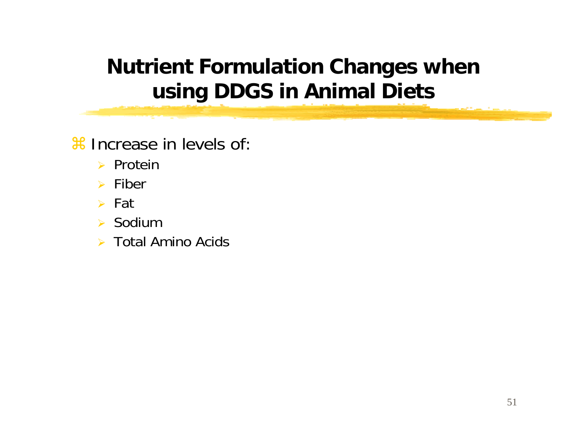### **Nutrient Formulation Changes when using DDGS in Animal Diets**

**a Increase in levels of** 

- ¾ Protein
- $\triangleright$  Fiber
- ¾ Fat
- $\triangleright$  Sodium
- ¾ Total Amino Acids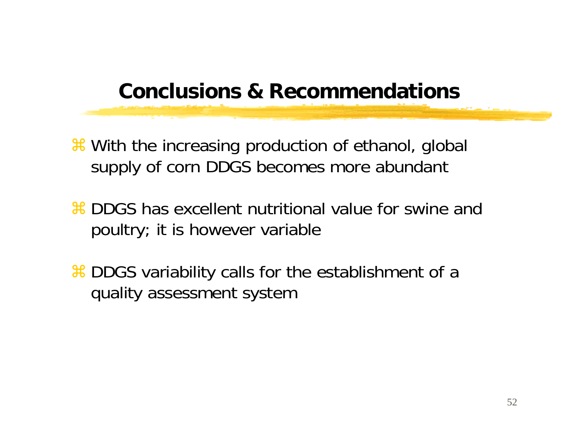### **Conclusions & Recommendations**

a With the increasing production of ethanol, global supply of corn DDGS becomes more abundant

- **a DDGS** has excellent nutritional value for swine and poultry; it is however variable
- **& DDGS** variability calls for the establishment of a quality assessment system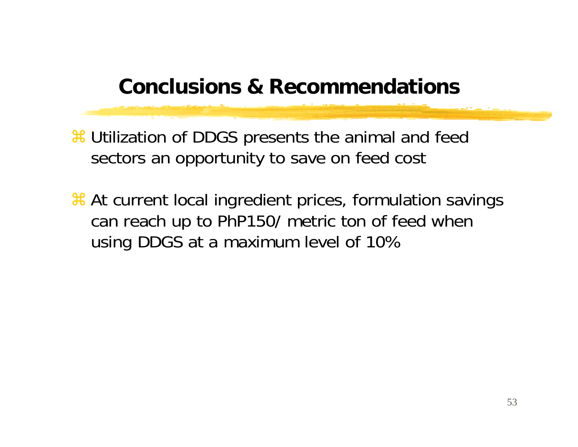### **Conclusions & Recommendations**

**& Utilization of DDGS presents the animal and feed** sectors an opportunity to save on feed cost

**a** At current local ingredient prices, formulation savings can reach up to PhP150/ metric ton of feed when using DDGS at a maximum level of 10%